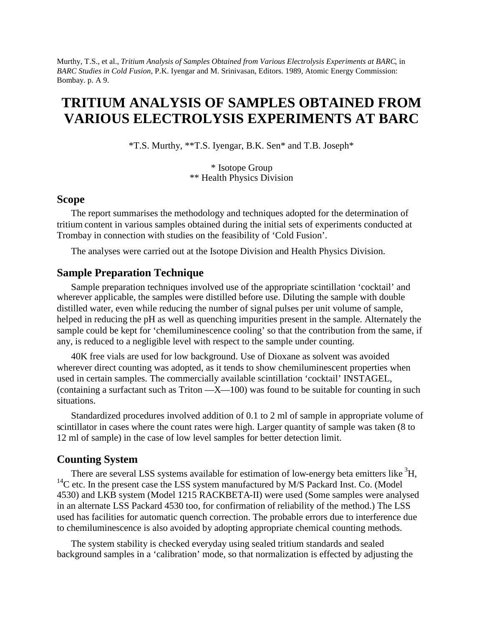Murthy, T.S., et al., *Tritium Analysis of Samples Obtained from Various Electrolysis Experiments at BARC*, in *BARC Studies in Cold Fusion*, P.K. Iyengar and M. Srinivasan, Editors. 1989, Atomic Energy Commission: Bombay. p. A 9.

# **TRITIUM ANALYSIS OF SAMPLES OBTAINED FROM VARIOUS ELECTROLYSIS EXPERIMENTS AT BARC**

\*T.S. Murthy, \*\*T.S. Iyengar, B.K. Sen\* and T.B. Joseph\*

\* Isotope Group \*\* Health Physics Division

#### **Scope**

The report summarises the methodology and techniques adopted for the determination of tritium content in various samples obtained during the initial sets of experiments conducted at Trombay in connection with studies on the feasibility of 'Cold Fusion'.

The analyses were carried out at the Isotope Division and Health Physics Division.

#### **Sample Preparation Technique**

Sample preparation techniques involved use of the appropriate scintillation 'cocktail' and wherever applicable, the samples were distilled before use. Diluting the sample with double distilled water, even while reducing the number of signal pulses per unit volume of sample, helped in reducing the pH as well as quenching impurities present in the sample. Alternately the sample could be kept for 'chemiluminescence cooling' so that the contribution from the same, if any, is reduced to a negligible level with respect to the sample under counting.

40K free vials are used for low background. Use of Dioxane as solvent was avoided wherever direct counting was adopted, as it tends to show chemiluminescent properties when used in certain samples. The commercially available scintillation 'cocktail' INSTAGEL, (containing a surfactant such as Triton  $-X$ —100) was found to be suitable for counting in such situations.

Standardized procedures involved addition of 0.1 to 2 ml of sample in appropriate volume of scintillator in cases where the count rates were high. Larger quantity of sample was taken (8 to 12 ml of sample) in the case of low level samples for better detection limit.

#### **Counting System**

There are several LSS systems available for estimation of low-energy beta emitters like  ${}^{3}H$ ,  $14$ C etc. In the present case the LSS system manufactured by M/S Packard Inst. Co. (Model 4530) and LKB system (Model 1215 RACKBETA-II) were used (Some samples were analysed in an alternate LSS Packard 4530 too, for confirmation of reliability of the method.) The LSS used has facilities for automatic quench correction. The probable errors due to interference due to chemiluminescence is also avoided by adopting appropriate chemical counting methods.

The system stability is checked everyday using sealed tritium standards and sealed background samples in a 'calibration' mode, so that normalization is effected by adjusting the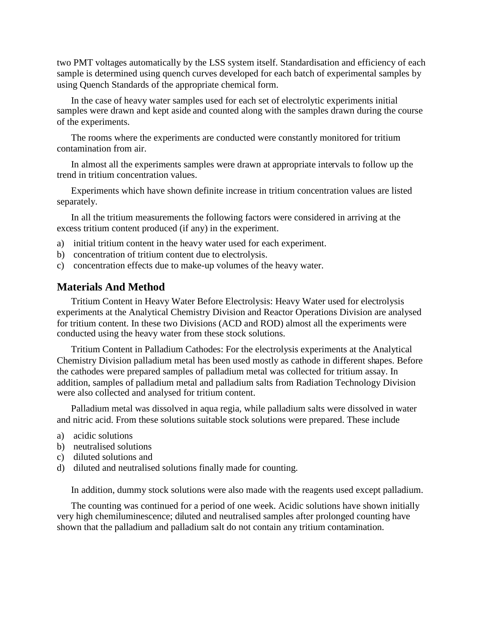two PMT voltages automatically by the LSS system itself. Standardisation and efficiency of each sample is determined using quench curves developed for each batch of experimental samples by using Quench Standards of the appropriate chemical form.

In the case of heavy water samples used for each set of electrolytic experiments initial samples were drawn and kept aside and counted along with the samples drawn during the course of the experiments.

The rooms where the experiments are conducted were constantly monitored for tritium contamination from air.

In almost all the experiments samples were drawn at appropriate intervals to follow up the trend in tritium concentration values.

Experiments which have shown definite increase in tritium concentration values are listed separately.

In all the tritium measurements the following factors were considered in arriving at the excess tritium content produced (if any) in the experiment.

- a) initial tritium content in the heavy water used for each experiment.
- b) concentration of tritium content due to electrolysis.
- c) concentration effects due to make-up volumes of the heavy water.

#### **Materials And Method**

Tritium Content in Heavy Water Before Electrolysis: Heavy Water used for electrolysis experiments at the Analytical Chemistry Division and Reactor Operations Division are analysed for tritium content. In these two Divisions (ACD and ROD) almost all the experiments were conducted using the heavy water from these stock solutions.

Tritium Content in Palladium Cathodes: For the electrolysis experiments at the Analytical Chemistry Division palladium metal has been used mostly as cathode in different shapes. Before the cathodes were prepared samples of palladium metal was collected for tritium assay. In addition, samples of palladium metal and palladium salts from Radiation Technology Division were also collected and analysed for tritium content.

Palladium metal was dissolved in aqua regia, while palladium salts were dissolved in water and nitric acid. From these solutions suitable stock solutions were prepared. These include

- a) acidic solutions
- b) neutralised solutions
- c) diluted solutions and
- d) diluted and neutralised solutions finally made for counting.

In addition, dummy stock solutions were also made with the reagents used except palladium.

The counting was continued for a period of one week. Acidic solutions have shown initially very high chemiluminescence; diluted and neutralised samples after prolonged counting have shown that the palladium and palladium salt do not contain any tritium contamination.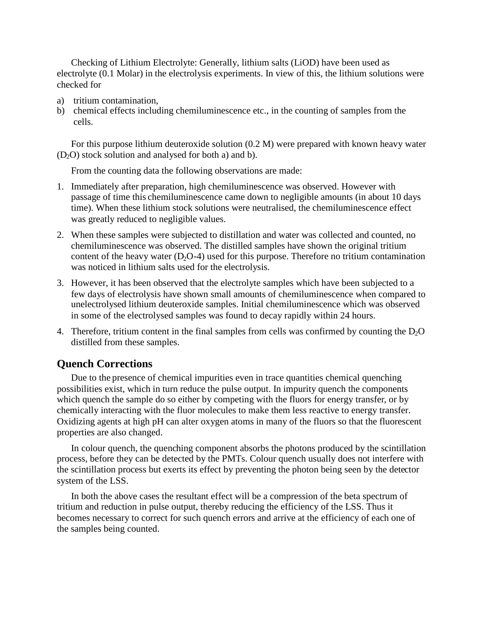Checking of Lithium Electrolyte: Generally, lithium salts (LiOD) have been used as electrolyte (0.1 Molar) in the electrolysis experiments. In view of this, the lithium solutions were checked for

- a) tritium contamination,
- b) chemical effects including chemiluminescence etc., in the counting of samples from the cells.

For this purpose lithium deuteroxide solution (0.2 M) were prepared with known heavy water  $(D<sub>2</sub>O)$  stock solution and analysed for both a) and b).

From the counting data the following observations are made:

- 1. Immediately after preparation, high chemiluminescence was observed. However with passage of time this chemiluminescence came down to negligible amounts (in about 10 days time). When these lithium stock solutions were neutralised, the chemiluminescence effect was greatly reduced to negligible values.
- 2. When these samples were subjected to distillation and water was collected and counted, no chemiluminescence was observed. The distilled samples have shown the original tritium content of the heavy water  $(D_2O-4)$  used for this purpose. Therefore no tritium contamination was noticed in lithium salts used for the electrolysis.
- 3. However, it has been observed that the electrolyte samples which have been subjected to a few days of electrolysis have shown small amounts of chemiluminescence when compared to unelectrolysed lithium deuteroxide samples. Initial chemiluminescence which was observed in some of the electrolysed samples was found to decay rapidly within 24 hours.
- 4. Therefore, tritium content in the final samples from cells was confirmed by counting the  $D_2O$ distilled from these samples.

#### **Quench Corrections**

Due to the presence of chemical impurities even in trace quantities chemical quenching possibilities exist, which in turn reduce the pulse output. In impurity quench the components which quench the sample do so either by competing with the fluors for energy transfer, or by chemically interacting with the fluor molecules to make them less reactive to energy transfer. Oxidizing agents at high pH can alter oxygen atoms in many of the fluors so that the fluorescent properties are also changed.

In colour quench, the quenching component absorbs the photons produced by the scintillation process, before they can be detected by the PMTs. Colour quench usually does not interfere with the scintillation process but exerts its effect by preventing the photon being seen by the detector system of the LSS.

In both the above cases the resultant effect will be a compression of the beta spectrum of tritium and reduction in pulse output, thereby reducing the efficiency of the LSS. Thus it becomes necessary to correct for such quench errors and arrive at the efficiency of each one of the samples being counted.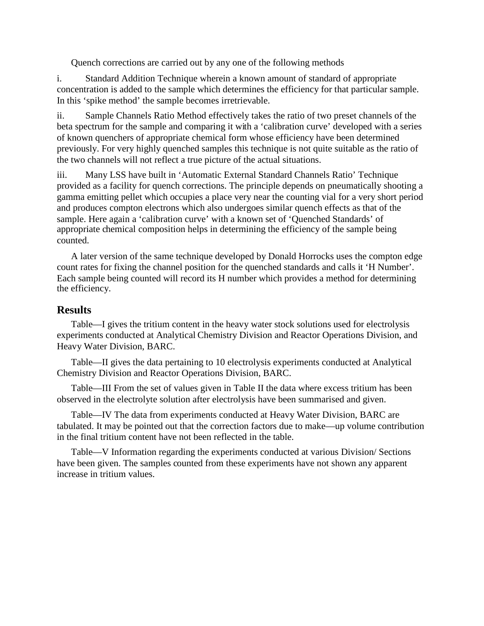Quench corrections are carried out by any one of the following methods

i. Standard Addition Technique wherein a known amount of standard of appropriate concentration is added to the sample which determines the efficiency for that particular sample. In this 'spike method' the sample becomes irretrievable.

ii. Sample Channels Ratio Method effectively takes the ratio of two preset channels of the beta spectrum for the sample and comparing it with a 'calibration curve' developed with a series of known quenchers of appropriate chemical form whose efficiency have been determined previously. For very highly quenched samples this technique is not quite suitable as the ratio of the two channels will not reflect a true picture of the actual situations.

iii. Many LSS have built in 'Automatic External Standard Channels Ratio' Technique provided as a facility for quench corrections. The principle depends on pneumatically shooting a gamma emitting pellet which occupies a place very near the counting vial for a very short period and produces compton electrons which also undergoes similar quench effects as that of the sample. Here again a 'calibration curve' with a known set of 'Quenched Standards' of appropriate chemical composition helps in determining the efficiency of the sample being counted.

A later version of the same technique developed by Donald Horrocks uses the compton edge count rates for fixing the channel position for the quenched standards and calls it 'H Number'. Each sample being counted will record its H number which provides a method for determining the efficiency.

## **Results**

Table—I gives the tritium content in the heavy water stock solutions used for electrolysis experiments conducted at Analytical Chemistry Division and Reactor Operations Division, and Heavy Water Division, BARC.

Table—II gives the data pertaining to 10 electrolysis experiments conducted at Analytical Chemistry Division and Reactor Operations Division, BARC.

Table—III From the set of values given in Table II the data where excess tritium has been observed in the electrolyte solution after electrolysis have been summarised and given.

Table—IV The data from experiments conducted at Heavy Water Division, BARC are tabulated. It may be pointed out that the correction factors due to make—up volume contribution in the final tritium content have not been reflected in the table.

Table—V Information regarding the experiments conducted at various Division/ Sections have been given. The samples counted from these experiments have not shown any apparent increase in tritium values.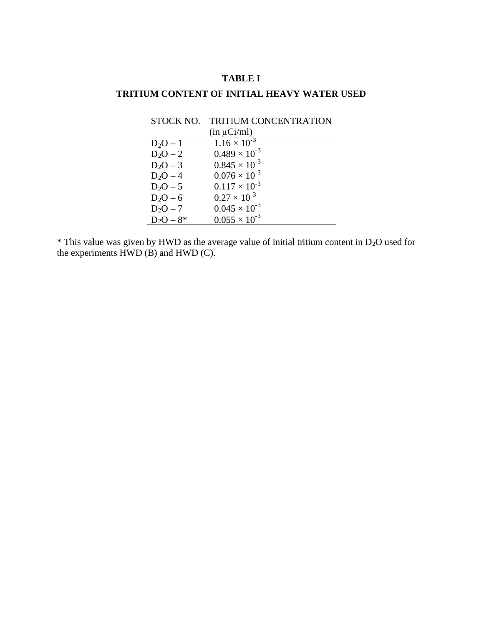## **TABLE I**

## **TRITIUM CONTENT OF INITIAL HEAVY WATER USED**

| STOCK NO.   | <b>TRITIUM CONCENTRATION</b> |
|-------------|------------------------------|
|             | $(in \mu Ci/ml)$             |
| $D_2O - 1$  | $1.16 \times 10^{-3}$        |
| $D_2O-2$    | $0.489 \times 10^{-3}$       |
| $D_2O - 3$  | $0.845 \times 10^{-3}$       |
| $D_2O - 4$  | $0.076 \times 10^{-3}$       |
| $D_2O - 5$  | $0.117 \times 10^{-3}$       |
| $D_2O - 6$  | $0.27 \times 10^{-3}$        |
| $D_2O - 7$  | $0.045 \times 10^{-3}$       |
| $D_2O - 8*$ | $0.055 \times 10^{-3}$       |

\* This value was given by HWD as the average value of initial tritium content in D2O used for the experiments  $\widetilde{HWD}$  (B) and  $HWD$  (C).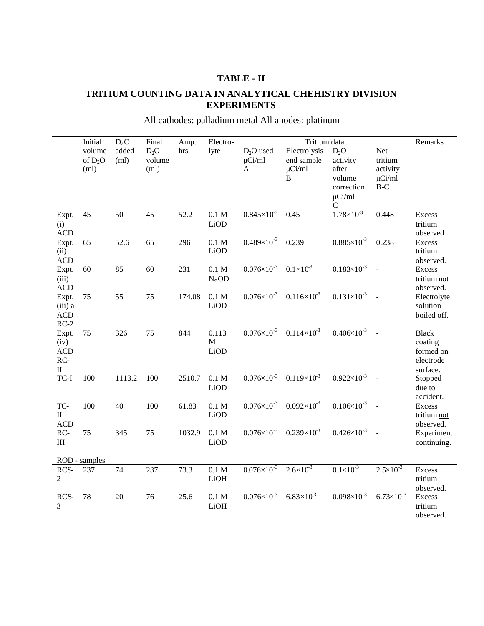## **TABLE - II**

## **TRITIUM COUNTING DATA IN ANALYTICAL CHEHISTRY DIVISION EXPERIMENTS**

|                                                         | Initial<br>volume | $D_2O$<br>added | Final<br>D <sub>2</sub> O | Amp.<br>hrs. | Electro-<br>lyte          | $D2O$ used             | Tritium data<br>Electrolysis<br>D <sub>2</sub> O<br>Net |                                                               |                                             | Remarks                                                       |
|---------------------------------------------------------|-------------------|-----------------|---------------------------|--------------|---------------------------|------------------------|---------------------------------------------------------|---------------------------------------------------------------|---------------------------------------------|---------------------------------------------------------------|
|                                                         | of $D_2O$<br>(ml) | (ml)            | volume<br>(ml)            |              |                           | $\mu$ Ci/ml<br>A       | end sample<br>$\mu$ Ci/ml<br>$\overline{B}$             | activity<br>after<br>volume<br>correction<br>$\mu$ Ci/ml<br>C | tritium<br>activity<br>$\mu$ Ci/ml<br>$B-C$ |                                                               |
| Expt.<br>(i)<br><b>ACD</b>                              | 45                | 50              | 45                        | 52.2         | 0.1 M<br>LiOD             | $0.845 \times 10^{-3}$ | 0.45                                                    | $1.78 \times 10^{-3}$                                         | 0.448                                       | Excess<br>tritium<br>observed                                 |
| Expt.<br>(ii)<br><b>ACD</b>                             | 65                | 52.6            | 65                        | 296          | 0.1 M<br>LiOD             | $0.489\times10^{-3}$   | 0.239                                                   | $0.885 \times 10^{-3}$                                        | 0.238                                       | <b>Excess</b><br>tritium<br>observed.                         |
| Expt.<br>(iii)<br><b>ACD</b>                            | 60                | 85              | 60                        | 231          | 0.1 M<br><b>NaOD</b>      | $0.076 \times 10^{-3}$ | $0.1 \times 10^{3}$                                     | $0.183 \times 10^{-3}$                                        | $\sim$                                      | <b>Excess</b><br>tritium not<br>observed.                     |
| Expt.<br>$(iii)$ a<br><b>ACD</b><br>$RC-2$              | 75                | 55              | 75                        | 174.08       | 0.1 M<br>LiOD             | $0.076 \times 10^{-3}$ | $0.116\times10^{3}$                                     | $0.131\times10^{-3}$                                          |                                             | Electrolyte<br>solution<br>boiled off.                        |
| Expt.<br>(iv)<br><b>ACD</b><br>RC-<br>$\mathop{\rm II}$ | 75                | 326             | 75                        | 844          | 0.113<br>M<br>LiOD        |                        | $0.076 \times 10^{-3}$ $0.114 \times 10^{-3}$           | $0.406 \times 10^{-3}$ -                                      |                                             | <b>Black</b><br>coating<br>formed on<br>electrode<br>surface. |
| $TC-I$                                                  | 100               | 1113.2          | 100                       | 2510.7       | 0.1 M<br>LiOD             | $0.076 \times 10^{-3}$ | $0.119\times10^{3}$                                     | $0.922\times10^{-3}$                                          |                                             | Stopped<br>due to<br>accident.                                |
| TC-<br>$\mathbf{I}$<br><b>ACD</b>                       | 100               | 40              | 100                       | 61.83        | 0.1 M<br>LiOD             | $0.076 \times 10^{-3}$ | $0.092\times10^{3}$                                     | $0.106 \times 10^{-3}$                                        |                                             | <b>Excess</b><br>tritium not<br>observed.                     |
| RC-<br>III                                              | 75                | 345             | 75                        | 1032.9       | 0.1 M<br>LiOD             | $0.076 \times 10^{-3}$ | $0.239\times10^{3}$                                     | $0.426 \times 10^{-3}$                                        |                                             | Experiment<br>continuing.                                     |
|                                                         | ROD - samples     |                 |                           |              |                           |                        |                                                         |                                                               |                                             |                                                               |
| RCS-<br>$\overline{2}$                                  | 237               | 74              | 237                       | 73.3         | $0.1\ \mathrm{M}$<br>LiOH | $0.076 \times 10^{-3}$ | $2.6 \times 10^{3}$                                     | $0.1 \times 10^{-3}$                                          | $2.5 \times 10^{-3}$                        | <b>Excess</b><br>tritium<br>observed.                         |
| RCS-<br>3                                               | 78                | 20              | 76                        | 25.6         | 0.1 M<br>LiOH             | $0.076 \times 10^{-3}$ | $6.83\times10^{3}$                                      | $0.098 \times 10^{-3}$                                        | $6.73 \times 10^{-3}$                       | <b>Excess</b><br>tritium<br>observed.                         |

All cathodes: palladium metal All anodes: platinum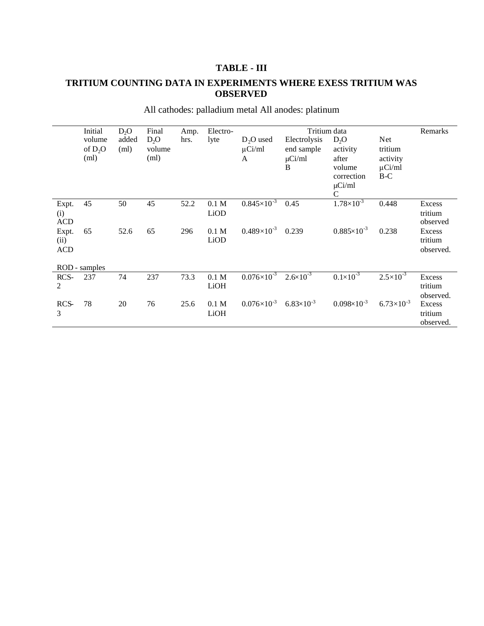## **TABLE - III**

## **TRITIUM COUNTING DATA IN EXPERIMENTS WHERE EXESS TRITIUM WAS OBSERVED**

|            | Initial       | D <sub>2</sub> O | Final  | Amp. | Electro-         |                      | Tritium data         |                        |                      |           |
|------------|---------------|------------------|--------|------|------------------|----------------------|----------------------|------------------------|----------------------|-----------|
|            | volume        | added            | $D_2O$ | hrs. | lyte             | $D_2O$ used          | Electrolysis         | $D_2O$                 | Net                  |           |
|            | of $D_2O$     | (ml)             | volume |      |                  | $\mu$ Ci/ml          | end sample           | activity               | tritium              |           |
|            | (ml)          |                  | (ml)   |      |                  | A                    | $\mu$ Ci/ml          | after                  | activity             |           |
|            |               |                  |        |      |                  |                      | B                    | volume                 | $\mu$ Ci/ml          |           |
|            |               |                  |        |      |                  |                      |                      | correction             | $B-C$                |           |
|            |               |                  |        |      |                  |                      |                      | $\mu$ Ci/ml            |                      |           |
|            |               |                  |        |      |                  |                      |                      | $\mathsf{C}$           |                      |           |
| Expt.      | 45            | 50               | 45     | 52.2 | 0.1 <sub>M</sub> | $0.845\times10^{-3}$ | 0.45                 | $1.78\times10^{-3}$    | 0.448                | Excess    |
| (i)        |               |                  |        |      | LiOD             |                      |                      |                        |                      | tritium   |
| <b>ACD</b> |               |                  |        |      |                  |                      |                      |                        |                      | observed  |
| Expt.      | 65            | 52.6             | 65     | 296  | 0.1 <sub>M</sub> | $0.489\times10^{-3}$ | 0.239                | $0.885 \times 10^{-3}$ | 0.238                | Excess    |
| (ii)       |               |                  |        |      | LiOD             |                      |                      |                        |                      | tritium   |
| <b>ACD</b> |               |                  |        |      |                  |                      |                      |                        |                      | observed. |
|            |               |                  |        |      |                  |                      |                      |                        |                      |           |
|            | ROD - samples |                  |        |      |                  |                      |                      |                        |                      |           |
| RCS-       | 237           | 74               | 237    | 73.3 | 0.1 <sub>M</sub> | $0.076\times10^{-3}$ | $2.6 \times 10^{-3}$ | $0.1 \times 10^{-3}$   | $2.5 \times 10^{-3}$ | Excess    |
| 2          |               |                  |        |      | LiOH             |                      |                      |                        |                      | tritium   |
|            |               |                  |        |      |                  |                      |                      |                        |                      | observed. |
| RCS-       | 78            | 20               | 76     | 25.6 | 0.1 M            | $0.076\times10^{-3}$ | $6.83\times10^{-3}$  | $0.098 \times 10^{-3}$ | $6.73\times10^{-3}$  | Excess    |
| 3          |               |                  |        |      | LiOH             |                      |                      |                        |                      | tritium   |
|            |               |                  |        |      |                  |                      |                      |                        |                      | observed. |

All cathodes: palladium metal All anodes: platinum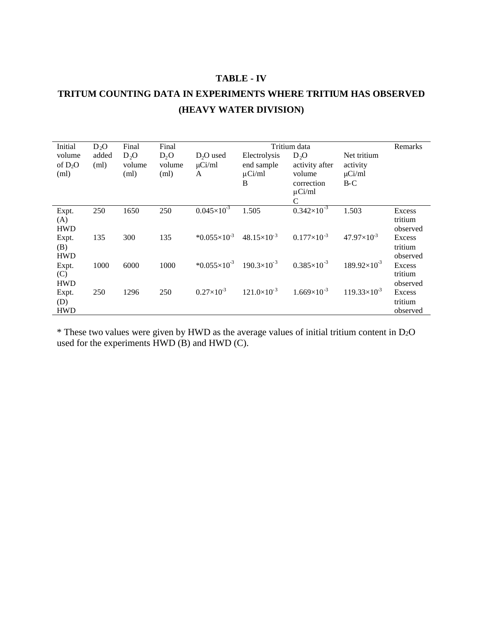#### **TABLE - IV**

## **TRITUM COUNTING DATA IN EXPERIMENTS WHERE TRITIUM HAS OBSERVED (HEAVY WATER DIVISION)**

| Initial    | $D_2O$ | Final            | Final  | Tritium data             |                      |                      |                       | Remarks  |
|------------|--------|------------------|--------|--------------------------|----------------------|----------------------|-----------------------|----------|
| volume     | added  | D <sub>2</sub> O | $D_2O$ | $D2O$ used               | Electrolysis         | D <sub>2</sub> O     | Net tritium           |          |
| of $D_2O$  | (ml)   | volume           | volume | $\mu$ Ci/ml              | end sample           | activity after       | activity              |          |
| (ml)       |        | (ml)             | (ml)   | A                        | $\mu$ Ci/ml          | volume               | $\mu$ Ci/ml           |          |
|            |        |                  |        |                          | B                    | correction           | $B-C$                 |          |
|            |        |                  |        |                          |                      | $\mu$ Ci/ml          |                       |          |
|            |        |                  |        |                          |                      |                      |                       |          |
|            |        |                  |        |                          |                      | C                    |                       |          |
| Expt.      | 250    | 1650             | 250    | $0.045\times10^{-3}$     | 1.505                | $0.342\times10^{-3}$ | 1.503                 | Excess   |
| (A)        |        |                  |        |                          |                      |                      |                       | tritium  |
| <b>HWD</b> |        |                  |        |                          |                      |                      |                       | observed |
| Expt.      | 135    | 300              | 135    | * $0.055 \times 10^{-3}$ | $48.15\times10^{-3}$ | $0.177\times10^{-3}$ | $47.97\times10^{-3}$  | Excess   |
| (B)        |        |                  |        |                          |                      |                      |                       | tritium  |
| <b>HWD</b> |        |                  |        |                          |                      |                      |                       | observed |
| Expt.      | 1000   | 6000             | 1000   | $*0.055\times10^{-3}$    | $190.3\times10^{-3}$ | $0.385\times10^{-3}$ | $189.92\times10^{-3}$ | Excess   |
| (C)        |        |                  |        |                          |                      |                      |                       | tritium  |
| <b>HWD</b> |        |                  |        |                          |                      |                      |                       | observed |
|            |        |                  |        | $0.27\times10^{-3}$      | $121.0\times10^{-3}$ | $1.669\times10^{-3}$ | $119.33\times10^{-3}$ |          |
| Expt.      | 250    | 1296             | 250    |                          |                      |                      |                       | Excess   |
| (D)        |        |                  |        |                          |                      |                      |                       | tritium  |
| <b>HWD</b> |        |                  |        |                          |                      |                      |                       | observed |

 $*$  These two values were given by HWD as the average values of initial tritium content in D<sub>2</sub>O used for the experiments HWD (B) and HWD (C).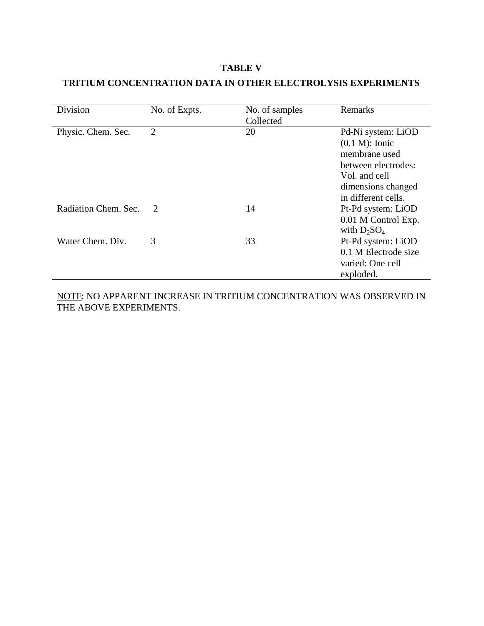#### **TABLE V**

## **TRITIUM CONCENTRATION DATA IN OTHER ELECTROLYSIS EXPERIMENTS**

| Division             | No. of Expts.  | No. of samples<br>Collected | Remarks                                                                                                                                       |
|----------------------|----------------|-----------------------------|-----------------------------------------------------------------------------------------------------------------------------------------------|
| Physic. Chem. Sec.   | $\overline{2}$ | 20                          | Pd-Ni system: LiOD<br>$(0.1 M)$ : Ionic<br>membrane used<br>between electrodes:<br>Vol. and cell<br>dimensions changed<br>in different cells. |
| Radiation Chem. Sec. | 2              | 14                          | Pt-Pd system: LiOD<br>0.01 M Control Exp.<br>with $D_2SO_4$                                                                                   |
| Water Chem. Div.     | 3              | 33                          | Pt-Pd system: LiOD<br>0.1 M Electrode size<br>varied: One cell<br>exploded.                                                                   |

NOTE: NO APPARENT INCREASE IN TRITIUM CONCENTRATION WAS OBSERVED IN THE ABOVE EXPERIMENTS.